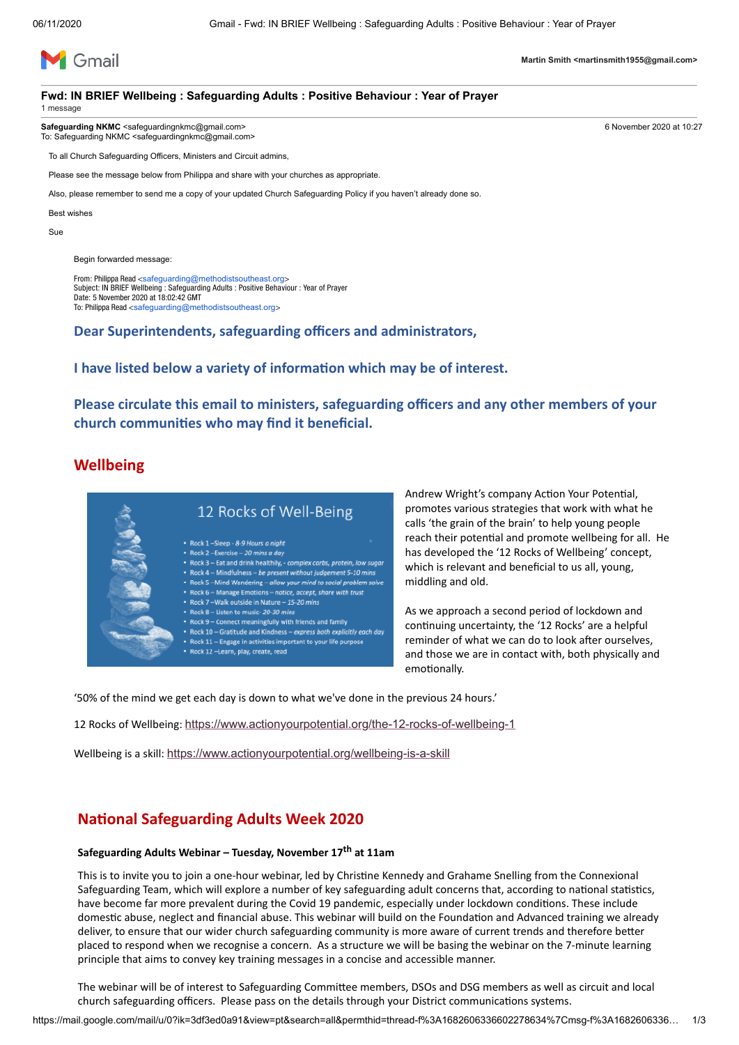

**Martin Smith <martinsmith1955@gmail.com>**

#### **Fwd: IN BRIEF Wellbeing : Safeguarding Adults : Positive Behaviour : Year of Prayer**

1 message

**Safeguarding NKMC** <safeguardingnkmc@gmail.com><br>To: Safeguarding NKMC <safeguardingnkmc@gmail.com>

To all Church Safeguarding Officers, Ministers and Circuit admins,

Please see the message below from Philippa and share with your churches as appropriate.

Also, please remember to send me a copy of your updated Church Safeguarding Policy if you haven't already done so.

Best wishes

Sue

Begin forwarded message:

From: Philippa Read <[safeguarding@methodistsoutheast.org](mailto:safeguarding@methodistsoutheast.org)> Subject: IN BRIEF Wellbeing : Safeguarding Adults : Positive Behaviour : Year of Prayer Date: 5 November 2020 at 18:02:42 GMT To: Philippa Read <[safeguarding@methodistsoutheast.org](mailto:safeguarding@methodistsoutheast.org)>

#### **Dear Superintendents, safeguarding officers and administrators,**

#### **I have listed below a variety of information which may be of interest.**

## **Please circulate this email to ministers, safeguarding officers and any other members of your** church communities who may find it beneficial.

# **Wellbeing**



Andrew Wright's company Action Your Potential, promotes various strategies that work with what he calls 'the grain of the brain' to help young people reach their potential and promote wellbeing for all. He has developed the '12 Rocks of Wellbeing' concept, which is relevant and beneficial to us all, young, middling and old.

As we approach a second period of lockdown and continuing uncertainty, the '12 Rocks' are a helpful reminder of what we can do to look after ourselves, and those we are in contact with, both physically and emotionally.

'50% of the mind we get each day is down to what we've done in the previous 24 hours.'

12 Rocks of Wellbeing: <https://www.actionyourpotential.org/the-12-rocks-of-wellbeing-1>

Wellbeing is a skill: <https://www.actionyourpotential.org/wellbeing-is-a-skill>

## **National Safeguarding Adults Week 2020**

#### **Safeguarding Adults Webinar – Tuesday, November 17 th at 11am**

This is to invite you to join a one-hour webinar, led by Christine Kennedy and Grahame Snelling from the Connexional Safeguarding Team, which will explore a number of key safeguarding adult concerns that, according to national statistics, have become far more prevalent during the Covid 19 pandemic, especially under lockdown conditions. These include domestic abuse, neglect and financial abuse. This webinar will build on the Foundation and Advanced training we already deliver, to ensure that our wider church safeguarding community is more aware of current trends and therefore better placed to respond when we recognise a concern. As a structure we will be basing the webinar on the 7-minute learning principle that aims to convey key training messages in a concise and accessible manner.

The webinar will be of interest to Safeguarding Committee members, DSOs and DSG members as well as circuit and local church safeguarding officers. Please pass on the details through your District communications systems.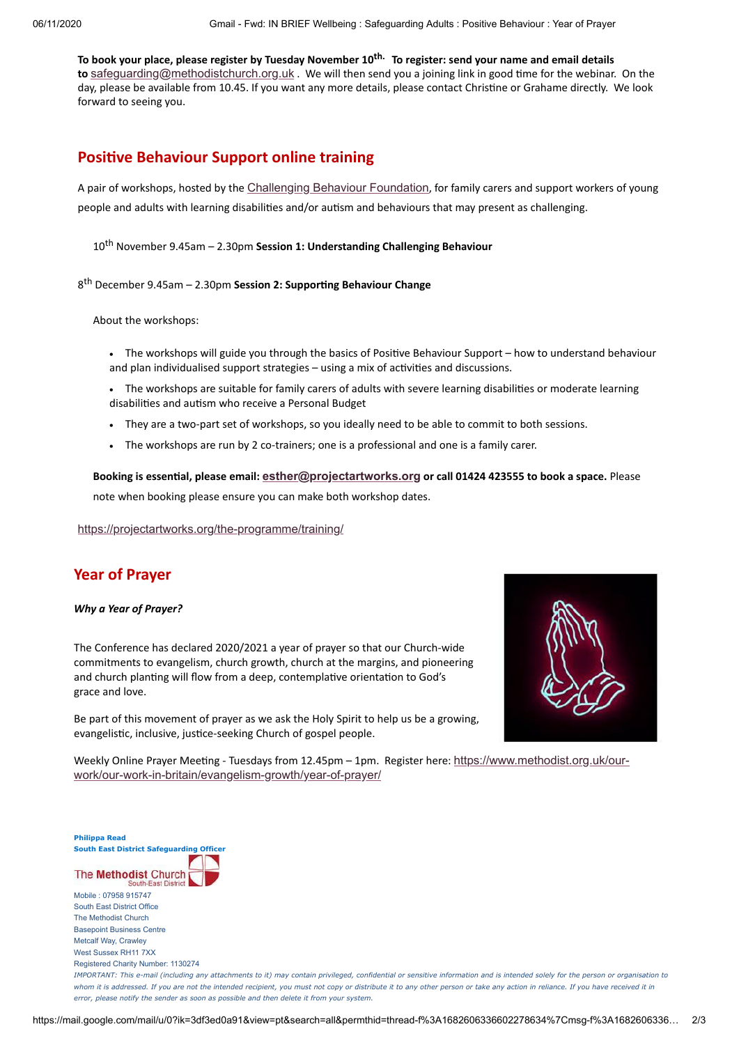To book your place, please register by Tuesday November 10<sup>th.</sup> To register: send your name and email details to [safeguarding@methodistchurch.org.uk](mailto:safeguarding@methodistchurch.org.uk). We will then send you a joining link in good time for the webinar. On the day, please be available from 10.45. If you want any more details, please contact Christine or Grahame directly. We look forward to seeing you.

## **Positive Behaviour Support online training**

A pair of workshops, hosted by the [Challenging](https://www.challengingbehaviour.org.uk/) Behaviour Foundation, for family carers and support workers of young people and adults with learning disabilities and/or autism and behaviours that may present as challenging.

10 th November 9.45am – 2.30pm **Session 1: Understanding Challenging Behaviour**

8 th December 9.45am – 2.30pm **Session 2: Supporng Behaviour Change**

About the workshops:

• The workshops will guide you through the basics of Positive Behaviour Support – how to understand behaviour and plan individualised support strategies  $-$  using a mix of activities and discussions.

- The workshops are suitable for family carers of adults with severe learning disabilities or moderate learning disabilities and autism who receive a Personal Budget
- · They are a two-part set of workshops, so you ideally need to be able to commit to both sessions.
- The workshops are run by 2 co-trainers; one is a professional and one is a family carer.

**Booking is essenal, please email: [esther@projectartworks.org](mailto:esther@projectartworks.org) or call 01424 423555 to book a space.** Please note when booking please ensure you can make both workshop dates.

<https://projectartworks.org/the-programme/training/>

### **Year of Prayer**

#### *Why a Year of Prayer?*

The Conference has declared 2020/2021 a year of prayer so that our Church-wide commitments to evangelism, church growth, church at the margins, and pioneering and church planting will flow from a deep, contemplative orientation to God's grace and love.



Be part of this movement of prayer as we ask the Holy Spirit to help us be a growing, evangelistic, inclusive, justice-seeking Church of gospel people.

Weekly Online Prayer Meeting - Tuesdays from 12.45pm - 1pm. Register here: https://www.methodist.org.uk/our[work/our-work-in-britain/evangelism-growth/year-of-prayer/](https://www.methodist.org.uk/our-work/our-work-in-britain/evangelism-growth/year-of-prayer/)



IMPORTANT: This e-mail (including any attachments to it) may contain privileged, confidential or sensitive information and is intended solely for the person or organisation to whom it is addressed. If you are not the intended recipient, you must not copy or distribute it to any other person or take any action in reliance. If you have received it in *error, please notify the sender as soon as possible and then delete it from your system.*